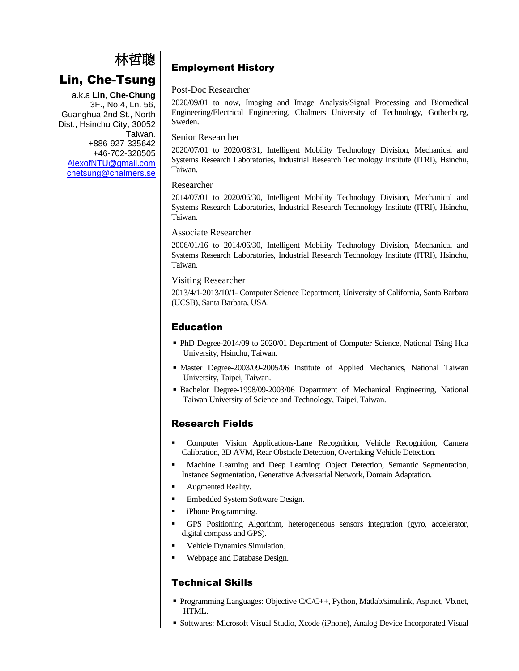# 林哲聰

# Lin, Che-Tsung

a.k.a **Lin, Che-Chung** 3F., No.4, Ln. 56, Guanghua 2nd St., North Dist., Hsinchu City, 30052 Taiwan. +886-927-335642 +46-702-328505 [AlexofNTU@gmail.com](mailto:AlexofNTU@gmail.com) [chetsung@chalmers.se](mailto:chetsung@chalmers.se)

# Employment History

## Post-Doc Researcher

2020/09/01 to now, Imaging and Image Analysis/Signal Processing and Biomedical Engineering/Electrical Engineering, Chalmers University of Technology, Gothenburg, Sweden.

### Senior Researcher

2020/07/01 to 2020/08/31, Intelligent Mobility Technology Division, Mechanical and Systems Research Laboratories, Industrial Research Technology Institute (ITRI), Hsinchu, Taiwan.

## Researcher

2014/07/01 to 2020/06/30, Intelligent Mobility Technology Division, Mechanical and Systems Research Laboratories, Industrial Research Technology Institute (ITRI), Hsinchu, Taiwan.

# Associate Researcher

2006/01/16 to 2014/06/30, Intelligent Mobility Technology Division, Mechanical and Systems Research Laboratories, Industrial Research Technology Institute (ITRI), Hsinchu, Taiwan.

## Visiting Researcher

2013/4/1-2013/10/1- Computer Science Department, University of California, Santa Barbara (UCSB), Santa Barbara, USA.

# Education

- PhD Degree-2014/09 to 2020/01 Department of Computer Science, National Tsing Hua University, Hsinchu, Taiwan.
- Master Degree-2003/09-2005/06 Institute of Applied Mechanics, National Taiwan University, Taipei, Taiwan.
- Bachelor Degree-1998/09-2003/06 Department of Mechanical Engineering, National Taiwan University of Science and Technology, Taipei, Taiwan.

# Research Fields

- Computer Vision Applications-Lane Recognition, Vehicle Recognition, Camera Calibration, 3D AVM, Rear Obstacle Detection, Overtaking Vehicle Detection.
- Machine Learning and Deep Learning: Object Detection, Semantic Segmentation, Instance Segmentation, Generative Adversarial Network, Domain Adaptation.
- Augmented Reality.
- Embedded System Software Design.
- iPhone Programming.
- GPS Positioning Algorithm, heterogeneous sensors integration (gyro, accelerator, digital compass and GPS).
- Vehicle Dynamics Simulation.
- Webpage and Database Design.

# Technical Skills

- Programming Languages: Objective C/C/C++, Python, Matlab/simulink, Asp.net, Vb.net, HTML.
- Softwares: Microsoft Visual Studio, Xcode (iPhone), Analog Device Incorporated Visual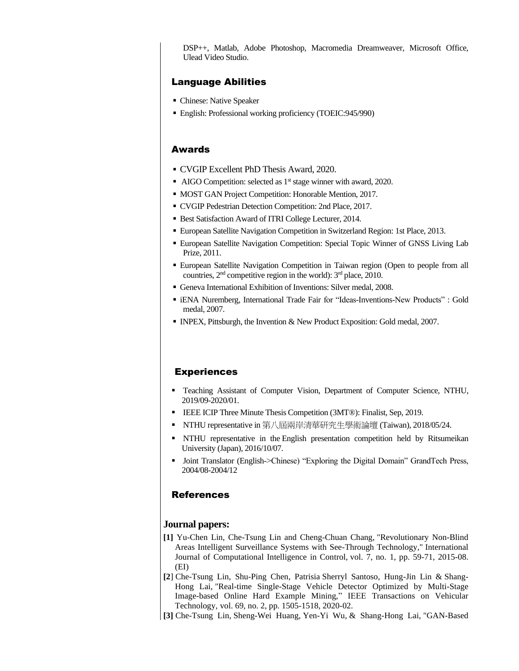DSP++, Matlab, Adobe Photoshop, Macromedia Dreamweaver, Microsoft Office, Ulead Video Studio.

# Language Abilities

- Chinese: Native Speaker
- English: Professional working proficiency (TOEIC:945/990)

#### Awards

- CVGIP Excellent PhD Thesis Award, 2020.
- AIGO Competition: selected as 1<sup>st</sup> stage winner with award, 2020.
- MOST GAN Project Competition: Honorable Mention, 2017.
- CVGIP Pedestrian Detection Competition: 2nd Place, 2017.
- Best Satisfaction Award of ITRI College Lecturer, 2014.
- European Satellite Navigation Competition in Switzerland Region: 1st Place, 2013.
- European Satellite Navigation Competition: Special Topic Winner of GNSS Living Lab Prize, 2011.
- European Satellite Navigation Competition in Taiwan region (Open to people from all countries,  $2<sup>nd</sup>$  competitive region in the world):  $3<sup>nd</sup>$  place, 2010.
- Geneva International Exhibition of Inventions: Silver medal, 2008.
- iENA Nuremberg, International Trade Fair for "Ideas-Inventions-New Products" : Gold medal, 2007.
- INPEX, Pittsburgh, the Invention & New Product Exposition: Gold medal, 2007.

#### **Experiences**

- Teaching Assistant of Computer Vision, Department of Computer Science, NTHU, 2019/09-2020/01.
- IEEE ICIP Three Minute Thesis Competition (3MT®): Finalist, Sep, 2019.
- NTHU representative in 第八屆兩岸清華研究生學術論壇 (Taiwan), 2018/05/24.
- NTHU representative in the English presentation competition held by Ritsumeikan University (Japan), 2016/10/07.
- Joint Translator (English->Chinese) "Exploring the Digital Domain" GrandTech Press, 2004/08-2004/12

#### References

#### **Journal papers:**

- **[1]** Yu-Chen Lin, Che-Tsung Lin and Cheng-Chuan Chang, "Revolutionary Non-Blind Areas Intelligent Surveillance Systems with See-Through Technology," International Journal of Computational Intelligence in Control, vol. 7, no. 1, pp. 59-71, 2015-08. (EI)
- **[2**] Che-Tsung Lin, Shu-Ping Chen, Patrisia Sherryl Santoso, Hung-Jin Lin & Shang-Hong Lai, "Real-time Single-Stage Vehicle Detector Optimized by Multi-Stage Image-based Online Hard Example Mining," IEEE Transactions on Vehicular Technology, vol. 69, no. 2, pp. 1505-1518, 2020-02.
- **[3]** Che-Tsung Lin, Sheng-Wei Huang, Yen-Yi Wu, & Shang-Hong Lai, "GAN-Based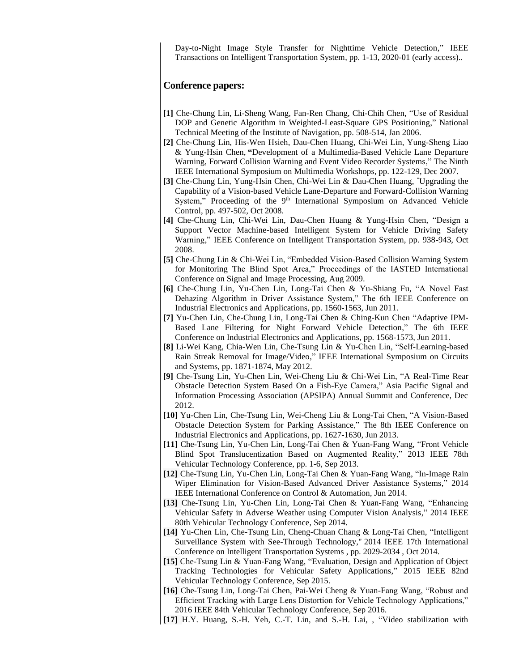Day-to-Night Image Style Transfer for Nighttime Vehicle Detection," IEEE Transactions on Intelligent Transportation System, pp. 1-13, 2020-01 (early access)..

#### **Conference papers:**

- **[1]** Che-Chung Lin, Li-Sheng Wang, Fan-Ren Chang, Chi-Chih Chen, "Use of Residual DOP and Genetic Algorithm in Weighted-Least-Square GPS Positioning," National Technical Meeting of the Institute of Navigation, pp. 508-514, Jan 2006.
- **[2]** Che-Chung Lin, His-Wen Hsieh, Dau-Chen Huang, Chi-Wei Lin, Yung-Sheng Liao & Yung-Hsin Chen, **"**Development of a Multimedia-Based Vehicle Lane Departure Warning, Forward Collision Warning and Event Video Recorder Systems," The Ninth IEEE International Symposium on Multimedia Workshops, pp. 122-129, Dec 2007.
- **[3]** Che-Chung Lin, Yung-Hsin Chen, Chi-Wei Lin & Dau-Chen Huang, "Upgrading the Capability of a Vision-based Vehicle Lane-Departure and Forward-Collision Warning System," Proceeding of the 9<sup>th</sup> International Symposium on Advanced Vehicle Control, pp. 497-502, Oct 2008.
- **[4]** Che-Chung Lin, Chi-Wei Lin, Dau-Chen Huang & Yung-Hsin Chen, "Design a Support Vector Machine-based Intelligent System for Vehicle Driving Safety Warning," IEEE Conference on Intelligent Transportation System, pp. 938-943, Oct 2008.
- **[5]** Che-Chung Lin & Chi-Wei Lin, "Embedded Vision-Based Collision Warning System for Monitoring The Blind Spot Area," Proceedings of the IASTED International Conference on Signal and Image Processing, Aug 2009.
- **[6]** Che-Chung Lin, Yu-Chen Lin, Long-Tai Chen & Yu-Shiang Fu, "A Novel Fast Dehazing Algorithm in Driver Assistance System," The 6th IEEE Conference on Industrial Electronics and Applications, pp. 1560-1563, Jun 2011.
- **[7]** Yu-Chen Lin, Che-Chung Lin, Long-Tai Chen & Ching-Kun Chen "Adaptive IPM-Based Lane Filtering for Night Forward Vehicle Detection," The 6th IEEE Conference on Industrial Electronics and Applications, pp. 1568-1573, Jun 2011.
- **[8]** Li-Wei Kang, Chia-Wen Lin, Che-Tsung Lin & Yu-Chen Lin, "Self-Learning-based Rain Streak Removal for Image/Video," IEEE International Symposium on Circuits and Systems, pp. 1871-1874, May 2012.
- **[9]** Che-Tsung Lin, Yu-Chen Lin, Wei-Cheng Liu & Chi-Wei Lin, "A Real-Time Rear Obstacle Detection System Based On a Fish-Eye Camera," Asia Pacific Signal and Information Processing Association (APSIPA) Annual Summit and Conference, Dec 2012.
- **[10]** Yu-Chen Lin, Che-Tsung Lin, Wei-Cheng Liu & Long-Tai Chen, "A Vision-Based Obstacle Detection System for Parking Assistance," The 8th IEEE Conference on Industrial Electronics and Applications, pp. 1627-1630, Jun 2013.
- **[11]** Che-Tsung Lin, Yu-Chen Lin, Long-Tai Chen & Yuan-Fang Wang, "Front Vehicle Blind Spot Translucentization Based on Augmented Reality," 2013 IEEE 78th Vehicular Technology Conference, pp. 1-6, Sep 2013.
- **[12]** Che-Tsung Lin, Yu-Chen Lin, Long-Tai Chen & Yuan-Fang Wang, "In-Image Rain Wiper Elimination for Vision-Based Advanced Driver Assistance Systems," 2014 IEEE International Conference on Control & Automation, Jun 2014.
- **[13]** Che-Tsung Lin, Yu-Chen Lin, Long-Tai Chen & Yuan-Fang Wang, "Enhancing Vehicular Safety in Adverse Weather using Computer Vision Analysis," 2014 IEEE 80th Vehicular Technology Conference, Sep 2014.
- **[14]** Yu-Chen Lin, Che-Tsung Lin, Cheng-Chuan Chang & Long-Tai Chen, "Intelligent Surveillance System with See-Through Technology," 2014 IEEE 17th International Conference on Intelligent Transportation Systems , pp. 2029-2034 , Oct 2014.
- **[15]** Che-Tsung Lin & Yuan-Fang Wang, "Evaluation, Design and Application of Object Tracking Technologies for Vehicular Safety Applications," 2015 IEEE 82nd Vehicular Technology Conference, Sep 2015.
- **[16]** Che-Tsung Lin, Long-Tai Chen, Pai-Wei Cheng & Yuan-Fang Wang, "Robust and Efficient Tracking with Large Lens Distortion for Vehicle Technology Applications," 2016 IEEE 84th Vehicular Technology Conference, Sep 2016.
- **[17]** H.Y. Huang, S.-H. Yeh, C.-T. Lin, and S.-H. Lai, , ["Video stabilization with](http://cv.cs.nthu.edu.tw/publications.php)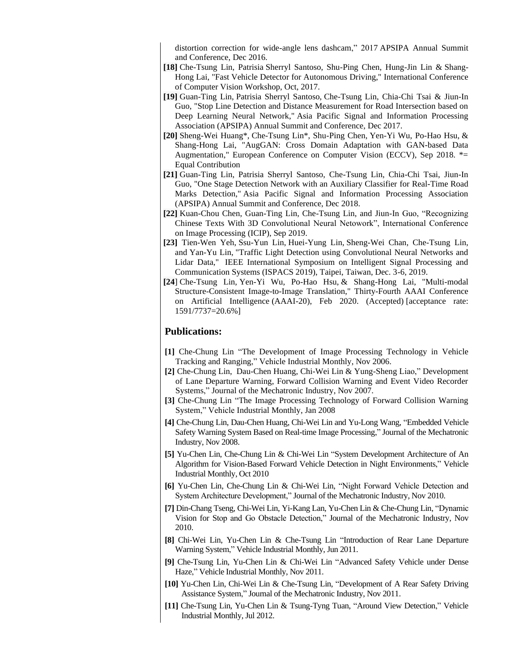[distortion correction for wide-angle lens dashcam,](http://cv.cs.nthu.edu.tw/publications.php)" 2017 APSIPA Annual Summit and Conference, Dec 2016.

- **[18]** Che-Tsung Lin, Patrisia Sherryl Santoso, Shu-Ping Chen, Hung-Jin Lin & Shang-Hong Lai, "Fast Vehicle Detector for Autonomous Driving," International Conference of Computer Vision Workshop, Oct, 2017.
- **[19]** Guan-Ting Lin, Patrisia Sherryl Santoso, Che-Tsung Lin, Chia-Chi Tsai & Jiun-In Guo, "Stop Line Detection and Distance Measurement for Road Intersection based on Deep Learning Neural Network," Asia Pacific Signal and Information Processing Association (APSIPA) Annual Summit and Conference, Dec 2017.
- **[20]** Sheng-Wei Huang\*, Che-Tsung Lin\*, Shu-Ping Chen, Yen-Yi Wu, Po-Hao Hsu, & Shang-Hong Lai, "AugGAN: Cross Domain Adaptation with GAN-based Data Augmentation," European Conference on Computer Vision (ECCV), Sep 2018. \*= Equal Contribution
- **[21]** Guan-Ting Lin, Patrisia Sherryl Santoso, Che-Tsung Lin, Chia-Chi Tsai, Jiun-In Guo, "One Stage Detection Network with an Auxiliary Classifier for Real-Time Road Marks Detection," Asia Pacific Signal and Information Processing Association (APSIPA) Annual Summit and Conference, Dec 2018.
- **[22]** Kuan-Chou Chen, Guan-Ting Lin, Che-Tsung Lin, and Jiun-In Guo, "Recognizing Chinese Texts With 3D Convolutional Neural Netowork", International Conference on Image Processing (ICIP), Sep 2019.
- **[23]** Tien-Wen Yeh, Ssu-Yun Lin, Huei-Yung Lin, Sheng-Wei Chan, Che-Tsung Lin, and Yan-Yu Lin, "Traffic Light Detection using Convolutional Neural Networks and Lidar Data," IEEE International Symposium on Intelligent Signal Processing and Communication Systems (ISPACS 2019), Taipei, Taiwan, Dec. 3-6, 2019.
- **[24**] Che-Tsung Lin, Yen-Yi Wu, Po-Hao Hsu, & Shang-Hong Lai, "Multi-modal Structure-Consistent Image-to-Image Translation," Thirty-Fourth AAAI Conference on Artificial Intelligence (AAAI-20), Feb 2020. (Accepted) [acceptance rate: 1591/7737=20.6%]

## **Publications:**

- **[1]** Che-Chung Lin "The Development of Image Processing Technology in Vehicle Tracking and Ranging," Vehicle Industrial Monthly, Nov 2006.
- **[2]** Che-Chung Lin, Dau-Chen Huang, Chi-Wei Lin & Yung-Sheng Liao," Development of Lane Departure Warning, Forward Collision Warning and Event Video Recorder Systems," Journal of the Mechatronic Industry, Nov 2007.
- **[3]** Che-Chung Lin "The Image Processing Technology of Forward Collision Warning System," Vehicle Industrial Monthly, Jan 2008
- **[4]** Che-Chung Lin, Dau-Chen Huang, Chi-Wei Lin and Yu-Long Wang, "Embedded Vehicle Safety Warning System Based on Real-time Image Processing," Journal of the Mechatronic Industry, Nov 2008.
- **[5]** Yu-Chen Lin, Che-Chung Lin & Chi-Wei Lin "System Development Architecture of An Algorithm for Vision-Based Forward Vehicle Detection in Night Environments," Vehicle Industrial Monthly, Oct 2010
- **[6]** Yu-Chen Lin, Che-Chung Lin & Chi-Wei Lin, "Night Forward Vehicle Detection and System Architecture Development," Journal of the Mechatronic Industry, Nov 2010.
- **[7]** Din-Chang Tseng, Chi-Wei Lin, Yi-Kang Lan, Yu-Chen Lin & Che-Chung Lin, "Dynamic Vision for Stop and Go Obstacle Detection," Journal of the Mechatronic Industry, Nov 2010.
- **[8]** Chi-Wei Lin, Yu-Chen Lin & Che-Tsung Lin "Introduction of Rear Lane Departure Warning System," Vehicle Industrial Monthly, Jun 2011.
- **[9]** Che-Tsung Lin, Yu-Chen Lin & Chi-Wei Lin "Advanced Safety Vehicle under Dense Haze," Vehicle Industrial Monthly, Nov 2011.
- **[10]** Yu-Chen Lin, Chi-Wei Lin & Che-Tsung Lin, "Development of A Rear Safety Driving Assistance System," Journal of the Mechatronic Industry, Nov 2011.
- **[11]** Che-Tsung Lin, Yu-Chen Lin & Tsung-Tyng Tuan, "Around View Detection," Vehicle Industrial Monthly, Jul 2012.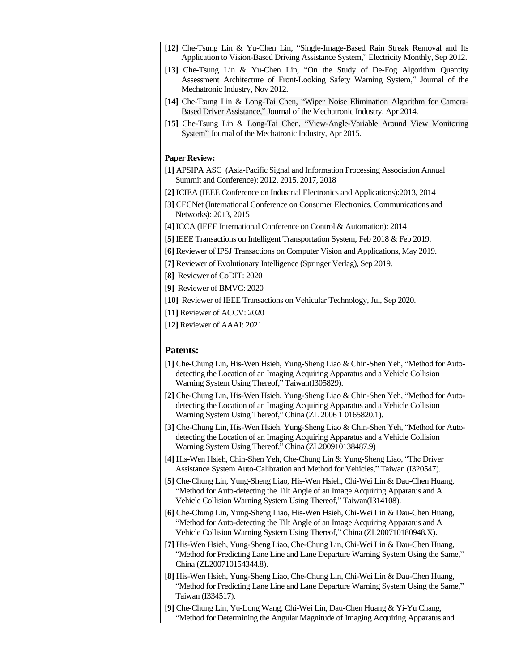- **[12]** Che-Tsung Lin & Yu-Chen Lin, "Single-Image-Based Rain Streak Removal and Its Application to Vision-Based Driving Assistance System," Electricity Monthly, Sep 2012.
- **[13]** Che-Tsung Lin & Yu-Chen Lin, "On the Study of De-Fog Algorithm Quantity Assessment Architecture of Front-Looking Safety Warning System," Journal of the Mechatronic Industry, Nov 2012.
- **[14]** Che-Tsung Lin & Long-Tai Chen, "Wiper Noise Elimination Algorithm for Camera-Based Driver Assistance," Journal of the Mechatronic Industry, Apr 2014.
- **[15]** Che-Tsung Lin & Long-Tai Chen, "View-Angle-Variable Around View Monitoring System" Journal of the Mechatronic Industry, Apr 2015.

#### **Paper Review:**

- **[1]** APSIPA ASC (Asia-Pacific Signal and Information Processing Association Annual Summit and Conference): 2012, 2015. 2017, 2018
- **[2]** ICIEA (IEEE Conference on Industrial Electronics and Applications):2013, 2014
- **[3]** CECNet (International Conference on Consumer Electronics, Communications and Networks): 2013, 2015
- **[4**] ICCA (IEEE International Conference on Control & Automation): 2014
- **[5]** IEEE Transactions on Intelligent Transportation System, Feb 2018 & Feb 2019.

**[6]** Reviewer of IPSJ Transactions on Computer Vision and Applications, May 2019.

**[7]** Reviewer of Evolutionary Intelligence (Springer Verlag), Sep 2019.

**[8]** Reviewer of CoDIT: 2020

- **[9]** Reviewer of BMVC: 2020
- **[10]** Reviewer of IEEE Transactions on Vehicular Technology, Jul, Sep 2020.

**[11]** Reviewer of ACCV: 2020

**[12]** Reviewer of AAAI: 2021

#### **Patents:**

- **[1]** Che-Chung Lin, His-Wen Hsieh, Yung-Sheng Liao & Chin-Shen Yeh, "Method for Autodetecting the Location of an Imaging Acquiring Apparatus and a Vehicle Collision Warning System Using Thereof," Taiwan(I305829).
- **[2]** Che-Chung Lin, His-Wen Hsieh, Yung-Sheng Liao & Chin-Shen Yeh, "Method for Autodetecting the Location of an Imaging Acquiring Apparatus and a Vehicle Collision Warning System Using Thereof," China (ZL 2006 1 0165820.1).
- **[3]** Che-Chung Lin, His-Wen Hsieh, Yung-Sheng Liao & Chin-Shen Yeh, "Method for Autodetecting the Location of an Imaging Acquiring Apparatus and a Vehicle Collision Warning System Using Thereof," China (ZL200910138487.9)
- **[4]** His-Wen Hsieh, Chin-Shen Yeh, Che-Chung Lin & Yung-Sheng Liao, "The Driver Assistance System Auto-Calibration and Method for Vehicles," Taiwan (I320547).
- **[5]** Che-Chung Lin, Yung-Sheng Liao, His-Wen Hsieh, Chi-Wei Lin & Dau-Chen Huang, "Method for Auto-detecting the Tilt Angle of an Image Acquiring Apparatus and A Vehicle Collision Warning System Using Thereof," Taiwan(I314108).
- **[6]** Che-Chung Lin, Yung-Sheng Liao, His-Wen Hsieh, Chi-Wei Lin & Dau-Chen Huang, "Method for Auto-detecting the Tilt Angle of an Image Acquiring Apparatus and A Vehicle Collision Warning System Using Thereof," China (ZL200710180948.X).
- **[7]** His-Wen Hsieh, Yung-Sheng Liao, Che-Chung Lin, Chi-Wei Lin & Dau-Chen Huang, "Method for Predicting Lane Line and Lane Departure Warning System Using the Same," China (ZL200710154344.8).
- **[8]** His-Wen Hsieh, Yung-Sheng Liao, Che-Chung Lin, Chi-Wei Lin & Dau-Chen Huang, "Method for Predicting Lane Line and Lane Departure Warning System Using the Same," Taiwan (I334517).
- **[9]** Che-Chung Lin, Yu-Long Wang, Chi-Wei Lin, Dau-Chen Huang & Yi-Yu Chang, "Method for Determining the Angular Magnitude of Imaging Acquiring Apparatus and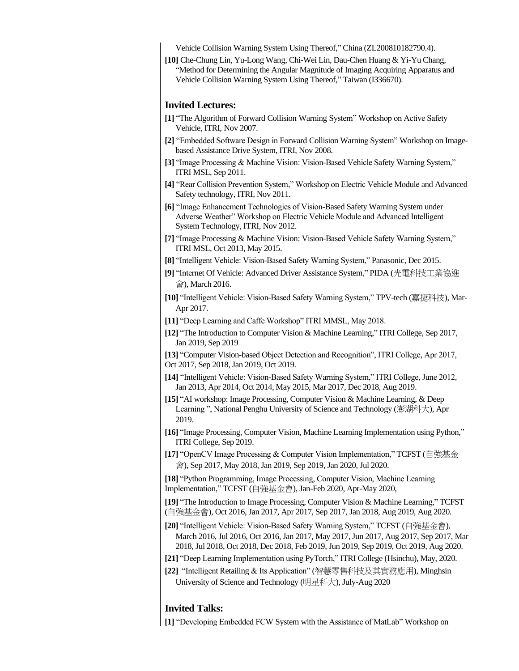Vehicle Collision Warning System Using Thereof," China (ZL200810182790.4).

**[10]** Che-Chung Lin, Yu-Long Wang, Chi-Wei Lin, Dau-Chen Huang & Yi-Yu Chang, "Method for Determining the Angular Magnitude of Imaging Acquiring Apparatus and Vehicle Collision Warning System Using Thereof," Taiwan (I336670).

#### **Invited Lectures:**

- **[1]** "The Algorithm of Forward Collision Warning System" Workshop on Active Safety Vehicle, ITRI, Nov 2007.
- **[2]** "Embedded Software Design in Forward Collision Warning System" Workshop on Imagebased Assistance Drive System, ITRI, Nov 2008.
- **[3]** "Image Processing & Machine Vision: Vision-Based Vehicle Safety Warning System," ITRI MSL, Sep 2011.
- **[4]** "Rear Collision Prevention System," Workshop on Electric Vehicle Module and Advanced Safety technology, ITRI, Nov 2011.
- **[6]** "Image Enhancement Technologies of Vision-Based Safety Warning System under Adverse Weather" Workshop on Electric Vehicle Module and Advanced Intelligent System Technology, ITRI, Nov 2012.
- **[7]** "Image Processing & Machine Vision: Vision-Based Vehicle Safety Warning System," ITRI MSL, Oct 2013, May 2015.
- **[8]** "Intelligent Vehicle: Vision-Based Safety Warning System," Panasonic, Dec 2015.
- **[9]** "Internet Of Vehicle: Advanced Driver Assistance System," PIDA (光電科技工業協進 會), March 2016.
- **[10]** "Intelligent Vehicle: Vision-Based Safety Warning System," TPV-tech (嘉捷科技), Mar-Apr 2017.
- **[11]** "Deep Learning and Caffe Workshop" ITRI MMSL, May 2018.
- **[12]** "The Introduction to Computer Vision & Machine Learning," ITRI College, Sep 2017, Jan 2019, Sep 2019

**[13]** "Computer Vision-based Object Detection and Recognition", ITRI College, Apr 2017, Oct 2017, Sep 2018, Jan 2019, Oct 2019.

- **[14]** "Intelligent Vehicle: Vision-Based Safety Warning System," ITRI College, June 2012, Jan 2013, Apr 2014, Oct 2014, May 2015, Mar 2017, Dec 2018, Aug 2019.
- **[15]** "AI workshop: Image Processing, Computer Vision & Machine Learning, & Deep Learning ", National Penghu University of Science and Technology (澎湖科大), Apr 2019.
- **[16]** "Image Processing, Computer Vision, Machine Learning Implementation using Python," ITRI College, Sep 2019.
- **[17]** "OpenCV Image Processing & Computer Vision Implementation," TCFST (自強基金 會), Sep 2017, May 2018, Jan 2019, Sep 2019, Jan 2020, Jul 2020.

**[18]** "Python Programming, Image Processing, Computer Vision, Machine Learning Implementation," TCFST (自強基金會), Jan-Feb 2020, Apr-May 2020,

**[19]** "The Introduction to Image Processing, Computer Vision & Machine Learning," TCFST (自強基金會), Oct 2016, Jan 2017, Apr 2017, Sep 2017, Jan 2018, Aug 2019, Aug 2020.

- **[20]** "Intelligent Vehicle: Vision-Based Safety Warning System," TCFST (自強基金會), March 2016, Jul 2016, Oct 2016, Jan 2017, May 2017, Jun 2017, Aug 2017, Sep 2017, Mar 2018, Jul 2018, Oct 2018, Dec 2018, Feb 2019, Jun 2019, Sep 2019, Oct 2019, Aug 2020.
- **[21]** "Deep Learning Implementation using PyTorch," ITRI College (Hsinchu), May, 2020.
- **[22]** "Intelligent Retailing & Its Application" (智慧零售科技及其實務應用), Minghsin University of Science and Technology (明星科大), July-Aug 2020

# **Invited Talks:**

**[1]** "Developing Embedded FCW System with the Assistance of MatLab" Workshop on